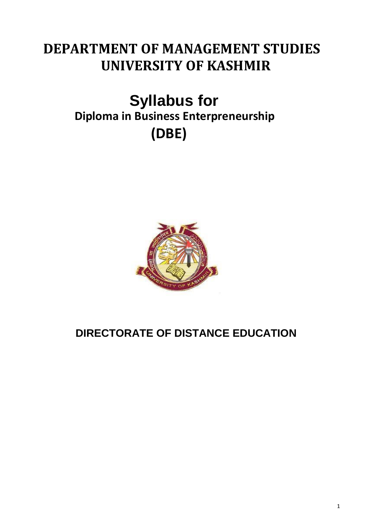# **DEPARTMENT OF MANAGEMENT STUDIES UNIVERSITY OF KASHMIR**

# **Syllabus for Diploma in Business Enterpreneurship (DBE)**



## **DIRECTORATE OF DISTANCE EDUCATION**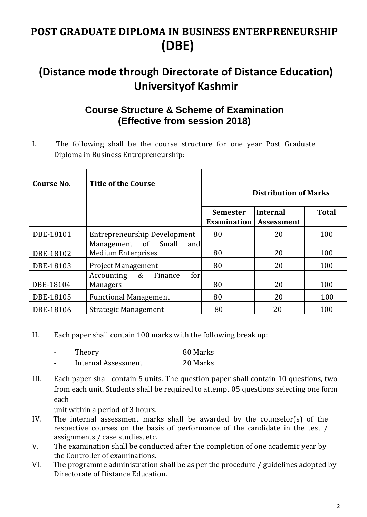### **POST GRADUATE DIPLOMA IN BUSINESS ENTERPRENEURSHIP (DBE)**

### **(Distance mode through Directorate of Distance Education) Universityof Kashmir**

### **Course Structure & Scheme of Examination (Effective from session 2018)**

I. The following shall be the course structure for one year Post Graduate Diploma in Business Entrepreneurship:

| <b>Course No.</b> | <b>Title of the Course</b>                              | <b>Distribution of Marks</b>          |                        |              |
|-------------------|---------------------------------------------------------|---------------------------------------|------------------------|--------------|
|                   |                                                         | <b>Semester</b><br><b>Examination</b> | Internal<br>Assessment | <b>Total</b> |
| DBE-18101         | Entrepreneurship Development                            | 80                                    | 20                     | 100          |
| DBE-18102         | Management of Small<br>and<br><b>Medium Enterprises</b> | 80                                    | 20                     | 100          |
| DBE-18103         | <b>Project Management</b>                               | 80                                    | 20                     | 100          |
| DBE-18104         | &<br>Finance<br>for<br>Accounting<br><b>Managers</b>    | 80                                    | 20                     | 100          |
| DBE-18105         | <b>Functional Management</b>                            | 80                                    | 20                     | 100          |
| DBE-18106         | <b>Strategic Management</b>                             | 80                                    | 20                     | 100          |

II. Each paper shall contain 100 marks with the following break up:

|   | Theory                     | 80 Marks |
|---|----------------------------|----------|
| - | <b>Internal Assessment</b> | 20 Marks |

III. Each paper shall contain 5 units. The question paper shall contain 10 questions, two from each unit. Students shall be required to attempt 05 questions selecting one form each

unit within a period of 3 hours.

- IV. The internal assessment marks shall be awarded by the counselor(s) of the respective courses on the basis of performance of the candidate in the test / assignments / case studies, etc.
- V. The examination shall be conducted after the completion of one academic year by the Controller of examinations.
- VI. The programme administration shall be as per the procedure / guidelines adopted by Directorate of Distance Education.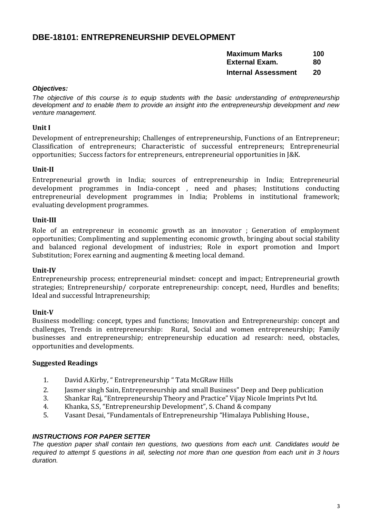#### **DBE-18101: ENTREPRENEURSHIP DEVELOPMENT**

**Maximum Marks 100**

**External Exam. 80**

**Internal Assessment 20**

#### *Objectives:*

The objective of this course is to equip students with the basic understanding of entrepreneurship *development and to enable them to provide an insight into the entrepreneurship development and new venture management.*

#### **Unit I**

Development of entrepreneurship; Challenges of entrepreneurship, Functions of an Entrepreneur; Classification of entrepreneurs; Characteristic of successful entrepreneurs; Entrepreneurial opportunities; Success factors for entrepreneurs, entrepreneurial opportunities in J&K.

#### **Unit-II**

Entrepreneurial growth in India; sources of entrepreneurship in India; Entrepreneurial development programmes in India-concept , need and phases; Institutions conducting entrepreneurial development programmes in India; Problems in institutional framework; evaluating development programmes.

#### **Unit-III**

Role of an entrepreneur in economic growth as an innovator ; Generation of employment opportunities; Complimenting and supplementing economic growth, bringing about social stability and balanced regional development of industries; Role in export promotion and Import Substitution; Forex earning and augmenting & meeting local demand.

#### **Unit-IV**

Entrepreneurship process; entrepreneurial mindset: concept and impact; Entrepreneurial growth strategies; Entrepreneurship/ corporate entrepreneurship: concept, need, Hurdles and benefits; Ideal and successful Intrapreneurship;

#### **Unit-V**

Business modelling: concept, types and functions; Innovation and Entrepreneurship: concept and challenges, Trends in entrepreneurship: Rural, Social and women entrepreneurship; Family businesses and entrepreneurship; entrepreneurship education ad research: need, obstacles, opportunities and developments.

#### **Suggested Readings**

- 1. David A.Kirby, " Entrepreneurship " Tata McGRaw Hills
- 2. Jasmer singh Sain, Entrepreneurship and small Business" Deep and Deep publication
- 3. Shankar Raj, "Entrepreneurship Theory and Practice" Vijay Nicole Imprints Pvt ltd.
- 4. Khanka, S.S, "Entrepreneurship Development", S. Chand & company
- 5. Vasant Desai, "Fundamentals of Entrepreneurship "Himalaya Publishing House.,

#### *INSTRUCTIONS FOR PAPER SETTER*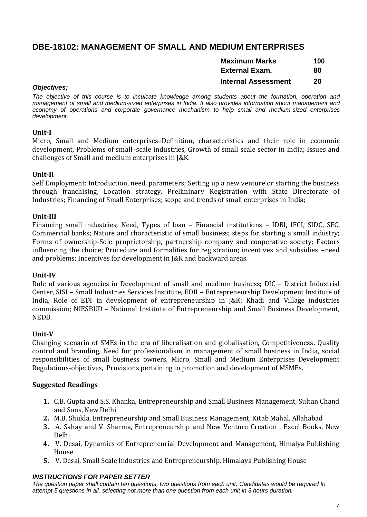#### **DBE-18102: MANAGEMENT OF SMALL AND MEDIUM ENTERPRISES**

| <b>Maximum Marks</b>  | 100 |
|-----------------------|-----|
| <b>External Exam.</b> | 80  |

#### **Internal Assessment 20**

#### *Objectives;*

*The objective of this course is to inculcate knowledge among students about the formation, operation and management of small and medium-sized enterprises in India. It also provides information about management and economy of operations and corporate governance mechanism to help small and medium-sized enterprises development.*

#### **Unit-I**

Micro, Small and Medium enterprises–Definition, characteristics and their role in economic development, Problems of small–scale industries, Growth of small scale sector in India; Issues and challenges of Small and medium enterprises in J&K.

#### **Unit-II**

Self Employment: Introduction, need, parameters; Setting up a new venture or starting the business through franchising, Location strategy, Preliminary Registration with State Directorate of Industries; Financing of Small Enterprises; scope and trends of small enterprises in India;

#### **Unit-III**

Financing small industries; Need, Types of loan – Financial institutions – IDBI, IFCI, SIDC, SFC, Commercial banks; Nature and characteristic of small business; steps for starting a small industry; Forms of ownership-Sole proprietorship, partnership company and cooperative society; Factors influencing the choice; Procedure and formalities for registration; incentives and subsidies –need and problems; Incentives for development in J&K and backward areas.

#### **Unit-IV**

Role of various agencies in Development of small and medium business; DIC – District Industrial Center, SISI – Small Industries Services Institute, EDII – Entrepreneurship Development Institute of India, Role of EDI in development of entrepreneurship in J&K; Khadi and Village industries commission; NIESBUD – National Institute of Entrepreneurship and Small Business Development, NEDB.

#### **Unit-V**

Changing scenario of SMEs in the era of liberalisation and globalisation, Competitiveness, Quality control and branding, Need for professionalism in management of small business in India, social responsibilities of small business owners, Micro, Small and Medium Enterprises Development Regulations-objectives, Provisions pertaining to promotion and development of MSMEs.

#### **Suggested Readings**

- **1.** C.B. Gupta and S.S. Khanka, Entrepreneurship and Small Business Management, Sultan Chand and Sons, New Delhi
- **2.** M.B. Shukla, Entrepreneurship and Small Business Management, Kitab Mahal, Allahabad
- **3.** A. Sahay and V. Sharma, Entrepreneurship and New Venture Creation , Excel Books, New Delhi
- **4.** V. Desai, Dynamics of Entrepreneurial Development and Management, Himalya Publishing House
- **5.** V. Desai, Small Scale Industries and Entrepreneurship, Himalaya Publishing House

#### *INSTRUCTIONS FOR PAPER SETTER*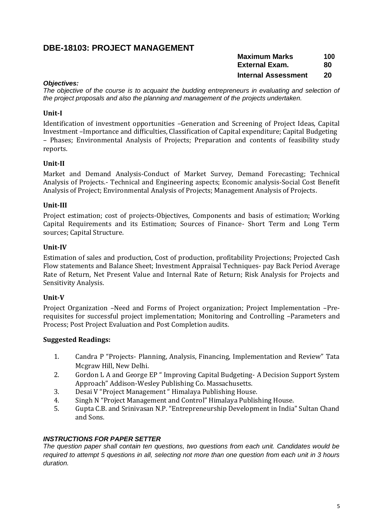#### **DBE-18103: PROJECT MANAGEMENT**

| <b>Maximum Marks</b>       | 100 |
|----------------------------|-----|
| <b>External Exam.</b>      | 80  |
| <b>Internal Assessment</b> | 20  |

#### *Objectives:*

*The objective of the course is to acquaint the budding entrepreneurs in evaluating and selection of the project proposals and also the planning and management of the projects undertaken.*

#### **Unit-I**

Identification of investment opportunities –Generation and Screening of Project Ideas, Capital Investment –Importance and difficulties, Classification of Capital expenditure; Capital Budgeting – Phases; Environmental Analysis of Projects; Preparation and contents of feasibility study reports.

#### **Unit-II**

Market and Demand Analysis-Conduct of Market Survey, Demand Forecasting; Technical Analysis of Projects.- Technical and Engineering aspects; Economic analysis-Social Cost Benefit Analysis of Project; Environmental Analysis of Projects; Management Analysis of Projects.

#### **Unit-III**

Project estimation; cost of projects-Objectives, Components and basis of estimation; Working Capital Requirements and its Estimation; Sources of Finance- Short Term and Long Term sources; Capital Structure.

#### **Unit-IV**

Estimation of sales and production, Cost of production, profitability Projections; Projected Cash Flow statements and Balance Sheet; Investment Appraisal Techniques- pay Back Period Average Rate of Return, Net Present Value and Internal Rate of Return; Risk Analysis for Projects and Sensitivity Analysis.

#### **Unit-V**

Project Organization –Need and Forms of Project organization; Project Implementation –Prerequisites for successful project implementation; Monitoring and Controlling –Parameters and Process; Post Project Evaluation and Post Completion audits.

#### **Suggested Readings:**

- 1. Candra P "Projects- Planning, Analysis, Financing, Implementation and Review" Tata Mcgraw Hill, New Delhi.
- 2. Gordon L A and George EP " Improving Capital Budgeting- A Decision Support System Approach" Addison-Wesley Publishing Co. Massachusetts.
- 3. Desai V "Project Management " Himalaya Publishing House.
- 4. Singh N "Project Management and Control" Himalaya Publishing House.
- 5. Gupta C.B. and Srinivasan N.P. "Entrepreneurship Development in India" Sultan Chand and Sons.

#### *INSTRUCTIONS FOR PAPER SETTER*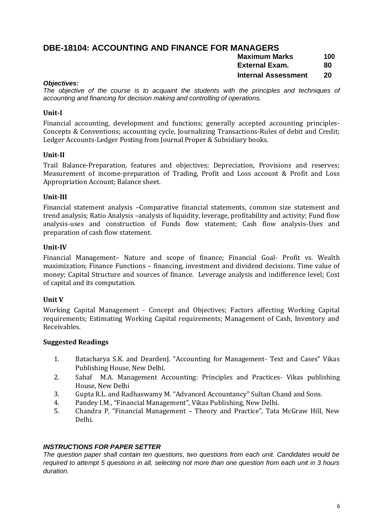### **DBE-18104: ACCOUNTING AND FINANCE FOR MANAGERS**

| . <i>.</i><br><b>Maximum Marks</b> | 100 |
|------------------------------------|-----|
| External Exam.                     | 80  |
| <b>Internal Assessment</b>         | 20  |

#### *Objectives:*

*The objective of the course is to acquaint the students with the principles and techniques of accounting and financing for decision making and controlling of operations.*

#### **Unit-I**

Financial accounting, development and functions; generally accepted accounting principles-Concepts & Conventions; accounting cycle, Journalizing Transactions-Rules of debit and Credit; Ledger Accounts-Ledger Posting from Journal Proper & Subsidiary books.

#### **Unit-II**

Trail Balance-Preparation, features and objectives; Depreciation, Provisions and reserves; Measurement of income-preparation of Trading, Profit and Loss account & Profit and Loss Appropriation Account; Balance sheet.

#### **Unit-III**

Financial statement analysis –Comparative financial statements, common size statement and trend analysis; Ratio Analysis –analysis of liquidity, leverage, profitability and activity; Fund flow analysis-uses and construction of Funds flow statement; Cash flow analysis-Uses and preparation of cash flow statement.

#### **Unit-IV**

Financial Management– Nature and scope of finance; Financial Goal- Profit vs. Wealth maximization; Finance Functions – financing, investment and dividend decisions. Time value of money; Capital Structure and sources of finance. Leverage analysis and indifference level; Cost of capital and its computation.

#### **Unit V**

Working Capital Management - Concept and Objectives; Factors affecting Working Capital requirements; Estimating Working Capital requirements; Management of Cash, Inventory and Receivables.

#### **Suggested Readings**

- 1. Batacharya S.K. and DeardenJ. "Accounting for Management- Text and Cases" Vikas Publishing House, New Delhi.
- 2. Sahaf M.A. Management Accounting: Principles and Practices- Vikas publishing House, New Delhi
- 3. Gupta R.L. and Radhaswamy M. "Advanced Accountancy" Sultan Chand and Sons.
- 4. Pandey I.M., "Financial Management", Vikas Publishing, New Delhi.
- 5. Chandra P, "Financial Management Theory and Practice", Tata McGraw Hill, New Delhi.

#### *INSTRUCTIONS FOR PAPER SETTER*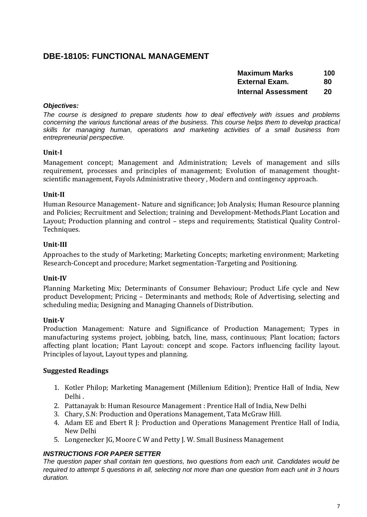#### **DBE-18105: FUNCTIONAL MANAGEMENT**

| <b>Maximum Marks</b>       | 100 |
|----------------------------|-----|
| External Exam.             | 80  |
| <b>Internal Assessment</b> | 20  |

#### *Objectives:*

*The course is designed to prepare students how to deal effectively with issues and problems concerning the various functional areas of the business. This course helps them to develop practical skills for managing human, operations and marketing activities of a small business from entrepreneurial perspective.*

#### **Unit-I**

Management concept; Management and Administration; Levels of management and sills requirement, processes and principles of management; Evolution of management thoughtscientific management, Fayols Administrative theory , Modern and contingency approach.

#### **Unit-II**

Human Resource Management- Nature and significance; Job Analysis; Human Resource planning and Policies; Recruitment and Selection; training and Development-Methods.Plant Location and Layout; Production planning and control – steps and requirements; Statistical Quality Control-Techniques.

#### **Unit-III**

Approaches to the study of Marketing; Marketing Concepts; marketing environment; Marketing Research-Concept and procedure; Market segmentation-Targeting and Positioning.

#### **Unit-IV**

Planning Marketing Mix; Determinants of Consumer Behaviour; Product Life cycle and New product Development; Pricing – Determinants and methods; Role of Advertising, selecting and scheduling media; Designing and Managing Channels of Distribution.

#### **Unit-V**

Production Management: Nature and Significance of Production Management; Types in manufacturing systems project, jobbing, batch, line, mass, continuous; Plant location; factors affecting plant location; Plant Layout: concept and scope. Factors influencing facility layout. Principles of layout, Layout types and planning.

#### **Suggested Readings**

- 1. Kotler Philop; Marketing Management (Millenium Edition); Prentice Hall of India, New Delhi .
- 2. Pattanayak b: Human Resource Management : Prentice Hall of India, New Delhi
- 3. Chary, S.N: Production and Operations Management, Tata McGraw Hill.
- 4. Adam EE and Ebert R J: Production and Operations Management Prentice Hall of India, New Delhi
- 5. Longenecker JG, Moore C W and Petty J. W. Small Business Management

#### *INSTRUCTIONS FOR PAPER SETTER*